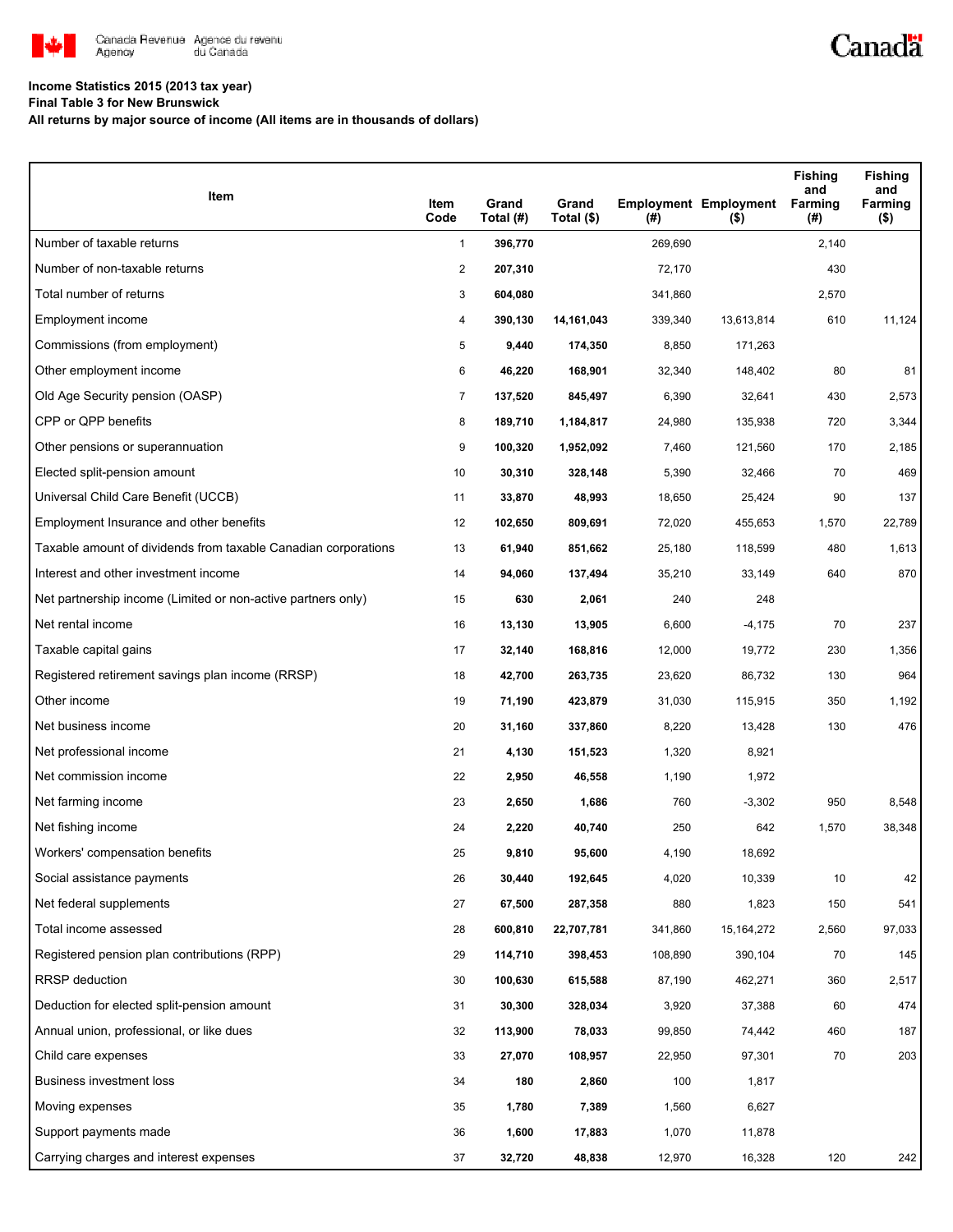

## **Income Statistics 2015 (2013 tax year)**

**Final Table 3 for New Brunswick**

**All returns by major source of income (All items are in thousands of dollars)**

| Item                                                           | Item<br>Code   | Grand<br>Total (#) | Grand<br>Total (\$) | (#)     | <b>Employment Employment</b><br>$($ \$) | <b>Fishing</b><br>and<br><b>Farming</b><br>(#) | <b>Fishing</b><br>and<br>Farming<br>( \$) |
|----------------------------------------------------------------|----------------|--------------------|---------------------|---------|-----------------------------------------|------------------------------------------------|-------------------------------------------|
| Number of taxable returns                                      | $\mathbf{1}$   | 396,770            |                     | 269,690 |                                         | 2,140                                          |                                           |
| Number of non-taxable returns                                  | $\overline{c}$ | 207,310            |                     | 72,170  |                                         | 430                                            |                                           |
| Total number of returns                                        | 3              | 604,080            |                     | 341,860 |                                         | 2,570                                          |                                           |
| Employment income                                              | 4              | 390,130            | 14,161,043          | 339,340 | 13,613,814                              | 610                                            | 11,124                                    |
| Commissions (from employment)                                  | 5              | 9,440              | 174,350             | 8,850   | 171,263                                 |                                                |                                           |
| Other employment income                                        | 6              | 46,220             | 168,901             | 32,340  | 148,402                                 | 80                                             | 81                                        |
| Old Age Security pension (OASP)                                | $\overline{7}$ | 137,520            | 845,497             | 6,390   | 32,641                                  | 430                                            | 2,573                                     |
| CPP or QPP benefits                                            | 8              | 189,710            | 1,184,817           | 24,980  | 135,938                                 | 720                                            | 3,344                                     |
| Other pensions or superannuation                               | 9              | 100,320            | 1,952,092           | 7,460   | 121,560                                 | 170                                            | 2,185                                     |
| Elected split-pension amount                                   | 10             | 30,310             | 328,148             | 5,390   | 32,466                                  | 70                                             | 469                                       |
| Universal Child Care Benefit (UCCB)                            | 11             | 33,870             | 48,993              | 18,650  | 25,424                                  | 90                                             | 137                                       |
| Employment Insurance and other benefits                        | 12             | 102,650            | 809,691             | 72,020  | 455,653                                 | 1,570                                          | 22,789                                    |
| Taxable amount of dividends from taxable Canadian corporations | 13             | 61,940             | 851,662             | 25,180  | 118,599                                 | 480                                            | 1,613                                     |
| Interest and other investment income                           | 14             | 94,060             | 137,494             | 35,210  | 33,149                                  | 640                                            | 870                                       |
| Net partnership income (Limited or non-active partners only)   | 15             | 630                | 2,061               | 240     | 248                                     |                                                |                                           |
| Net rental income                                              | 16             | 13,130             | 13,905              | 6,600   | $-4,175$                                | 70                                             | 237                                       |
| Taxable capital gains                                          | 17             | 32,140             | 168,816             | 12,000  | 19,772                                  | 230                                            | 1,356                                     |
| Registered retirement savings plan income (RRSP)               | 18             | 42,700             | 263,735             | 23,620  | 86,732                                  | 130                                            | 964                                       |
| Other income                                                   | 19             | 71,190             | 423,879             | 31,030  | 115,915                                 | 350                                            | 1,192                                     |
| Net business income                                            | 20             | 31,160             | 337,860             | 8,220   | 13,428                                  | 130                                            | 476                                       |
| Net professional income                                        | 21             | 4,130              | 151,523             | 1,320   | 8,921                                   |                                                |                                           |
| Net commission income                                          | 22             | 2,950              | 46,558              | 1,190   | 1,972                                   |                                                |                                           |
| Net farming income                                             | 23             | 2,650              | 1,686               | 760     | $-3,302$                                | 950                                            | 8,548                                     |
| Net fishing income                                             | 24             | 2,220              | 40,740              | 250     | 642                                     | 1,570                                          | 38,348                                    |
| Workers' compensation benefits                                 | 25             | 9,810              | 95,600              | 4,190   | 18,692                                  |                                                |                                           |
| Social assistance payments                                     | 26             | 30,440             | 192,645             | 4,020   | 10,339                                  | 10                                             | 42                                        |
| Net federal supplements                                        | 27             | 67,500             | 287,358             | 880     | 1,823                                   | 150                                            | 541                                       |
| Total income assessed                                          | 28             | 600,810            | 22,707,781          | 341,860 | 15, 164, 272                            | 2,560                                          | 97,033                                    |
| Registered pension plan contributions (RPP)                    | 29             | 114,710            | 398,453             | 108,890 | 390,104                                 | 70                                             | 145                                       |
| RRSP deduction                                                 | 30             | 100,630            | 615,588             | 87,190  | 462,271                                 | 360                                            | 2,517                                     |
| Deduction for elected split-pension amount                     | 31             | 30,300             | 328,034             | 3,920   | 37,388                                  | 60                                             | 474                                       |
| Annual union, professional, or like dues                       | 32             | 113,900            | 78,033              | 99,850  | 74,442                                  | 460                                            | 187                                       |
| Child care expenses                                            | 33             | 27,070             | 108,957             | 22,950  | 97,301                                  | 70                                             | 203                                       |
| Business investment loss                                       | 34             | 180                | 2,860               | 100     | 1,817                                   |                                                |                                           |
| Moving expenses                                                | 35             | 1,780              | 7,389               | 1,560   | 6,627                                   |                                                |                                           |
| Support payments made                                          | 36             | 1,600              | 17,883              | 1,070   | 11,878                                  |                                                |                                           |
| Carrying charges and interest expenses                         | 37             | 32,720             | 48,838              | 12,970  | 16,328                                  | 120                                            | 242                                       |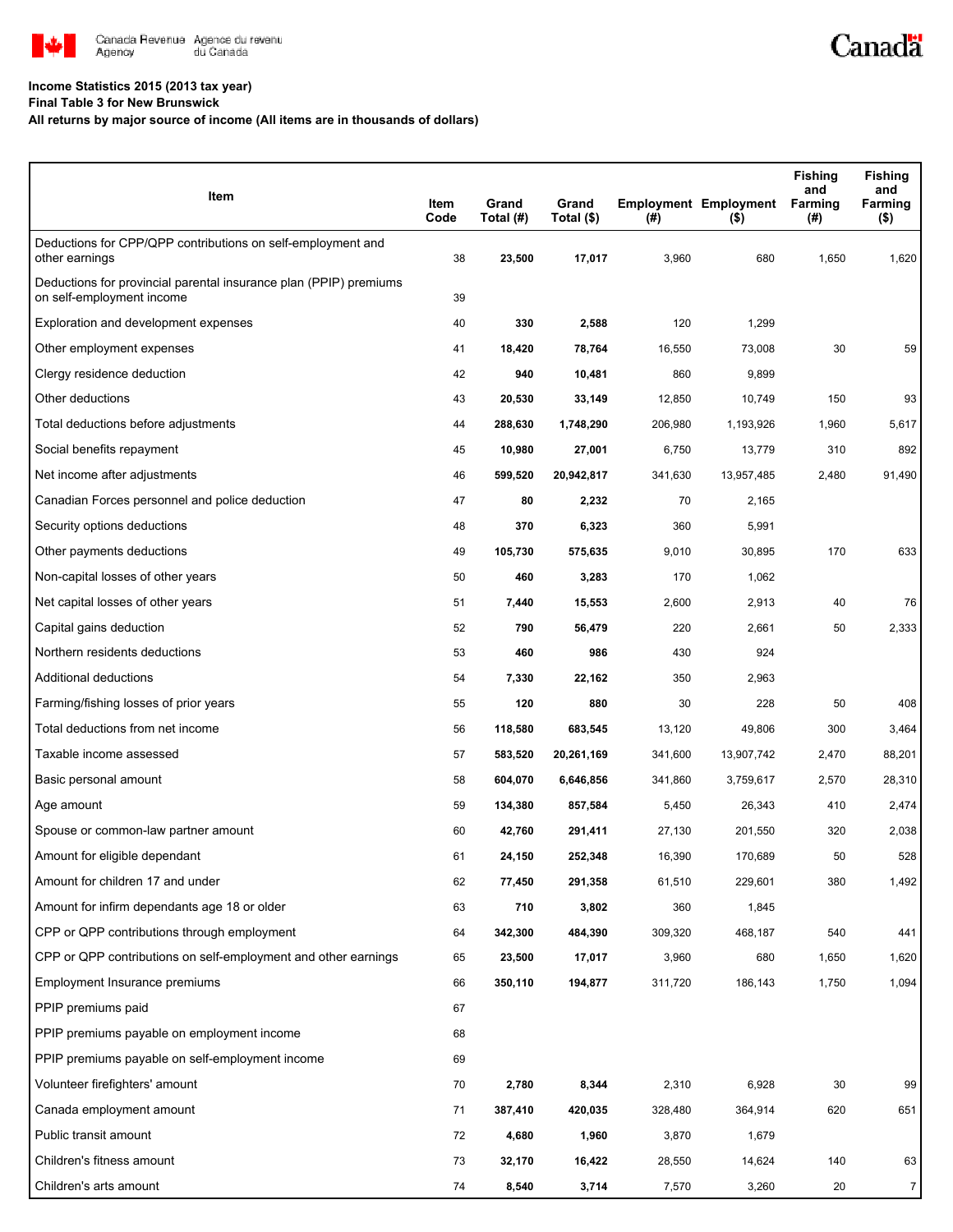

## **Income Statistics 2015 (2013 tax year)**

**Final Table 3 for New Brunswick**

## **All returns by major source of income (All items are in thousands of dollars)**

| Item                                                                                           | Item<br>Code | Grand<br>Total (#) | Grand<br>Total (\$) | $($ #)  | <b>Employment Employment</b><br>$($ \$) | <b>Fishing</b><br>and<br>Farming<br>(#) | <b>Fishing</b><br>and<br>Farming<br>(\$) |
|------------------------------------------------------------------------------------------------|--------------|--------------------|---------------------|---------|-----------------------------------------|-----------------------------------------|------------------------------------------|
| Deductions for CPP/QPP contributions on self-employment and<br>other earnings                  | 38           | 23,500             | 17,017              | 3,960   | 680                                     | 1,650                                   | 1,620                                    |
| Deductions for provincial parental insurance plan (PPIP) premiums<br>on self-employment income | 39           |                    |                     |         |                                         |                                         |                                          |
| Exploration and development expenses                                                           | 40           | 330                | 2,588               | 120     | 1,299                                   |                                         |                                          |
| Other employment expenses                                                                      | 41           | 18,420             | 78,764              | 16,550  | 73,008                                  | 30                                      | 59                                       |
| Clergy residence deduction                                                                     | 42           | 940                | 10,481              | 860     | 9,899                                   |                                         |                                          |
| Other deductions                                                                               | 43           | 20,530             | 33,149              | 12,850  | 10,749                                  | 150                                     | 93                                       |
| Total deductions before adjustments                                                            | 44           | 288,630            | 1,748,290           | 206,980 | 1,193,926                               | 1,960                                   | 5,617                                    |
| Social benefits repayment                                                                      | 45           | 10,980             | 27,001              | 6,750   | 13,779                                  | 310                                     | 892                                      |
| Net income after adjustments                                                                   | 46           | 599,520            | 20,942,817          | 341,630 | 13,957,485                              | 2,480                                   | 91,490                                   |
| Canadian Forces personnel and police deduction                                                 | 47           | 80                 | 2,232               | 70      | 2,165                                   |                                         |                                          |
| Security options deductions                                                                    | 48           | 370                | 6,323               | 360     | 5,991                                   |                                         |                                          |
| Other payments deductions                                                                      | 49           | 105,730            | 575,635             | 9,010   | 30,895                                  | 170                                     | 633                                      |
| Non-capital losses of other years                                                              | 50           | 460                | 3,283               | 170     | 1,062                                   |                                         |                                          |
| Net capital losses of other years                                                              | 51           | 7,440              | 15,553              | 2,600   | 2,913                                   | 40                                      | 76                                       |
| Capital gains deduction                                                                        | 52           | 790                | 56,479              | 220     | 2,661                                   | 50                                      | 2,333                                    |
| Northern residents deductions                                                                  | 53           | 460                | 986                 | 430     | 924                                     |                                         |                                          |
| Additional deductions                                                                          | 54           | 7,330              | 22,162              | 350     | 2,963                                   |                                         |                                          |
| Farming/fishing losses of prior years                                                          | 55           | 120                | 880                 | 30      | 228                                     | 50                                      | 408                                      |
| Total deductions from net income                                                               | 56           | 118,580            | 683,545             | 13,120  | 49,806                                  | 300                                     | 3,464                                    |
| Taxable income assessed                                                                        | 57           | 583,520            | 20,261,169          | 341,600 | 13,907,742                              | 2,470                                   | 88,201                                   |
| Basic personal amount                                                                          | 58           | 604,070            | 6,646,856           | 341,860 | 3,759,617                               | 2,570                                   | 28,310                                   |
| Age amount                                                                                     | 59           | 134,380            | 857,584             | 5,450   | 26,343                                  | 410                                     | 2,474                                    |
| Spouse or common-law partner amount                                                            | 60           | 42,760             | 291,411             | 27,130  | 201,550                                 | 320                                     | 2,038                                    |
| Amount for eligible dependant                                                                  | 61           | 24,150             | 252,348             | 16,390  | 170,689                                 | 50                                      | 528                                      |
| Amount for children 17 and under                                                               | 62           | 77,450             | 291,358             | 61,510  | 229,601                                 | 380                                     | 1,492                                    |
| Amount for infirm dependants age 18 or older                                                   | 63           | 710                | 3,802               | 360     | 1,845                                   |                                         |                                          |
| CPP or QPP contributions through employment                                                    | 64           | 342,300            | 484,390             | 309,320 | 468,187                                 | 540                                     | 441                                      |
| CPP or QPP contributions on self-employment and other earnings                                 | 65           | 23,500             | 17,017              | 3,960   | 680                                     | 1,650                                   | 1,620                                    |
| Employment Insurance premiums                                                                  | 66           | 350,110            | 194,877             | 311,720 | 186,143                                 | 1,750                                   | 1,094                                    |
| PPIP premiums paid                                                                             | 67           |                    |                     |         |                                         |                                         |                                          |
| PPIP premiums payable on employment income                                                     | 68           |                    |                     |         |                                         |                                         |                                          |
| PPIP premiums payable on self-employment income                                                | 69           |                    |                     |         |                                         |                                         |                                          |
| Volunteer firefighters' amount                                                                 | 70           | 2,780              | 8,344               | 2,310   | 6,928                                   | 30                                      | 99                                       |
| Canada employment amount                                                                       | 71           | 387,410            | 420,035             | 328,480 | 364,914                                 | 620                                     | 651                                      |
| Public transit amount                                                                          | 72           | 4,680              | 1,960               | 3,870   | 1,679                                   |                                         |                                          |
| Children's fitness amount                                                                      | 73           | 32,170             | 16,422              | 28,550  | 14,624                                  | 140                                     | 63                                       |
| Children's arts amount                                                                         | 74           | 8,540              | 3,714               | 7,570   | 3,260                                   | 20                                      | $\overline{7}$                           |

Canadä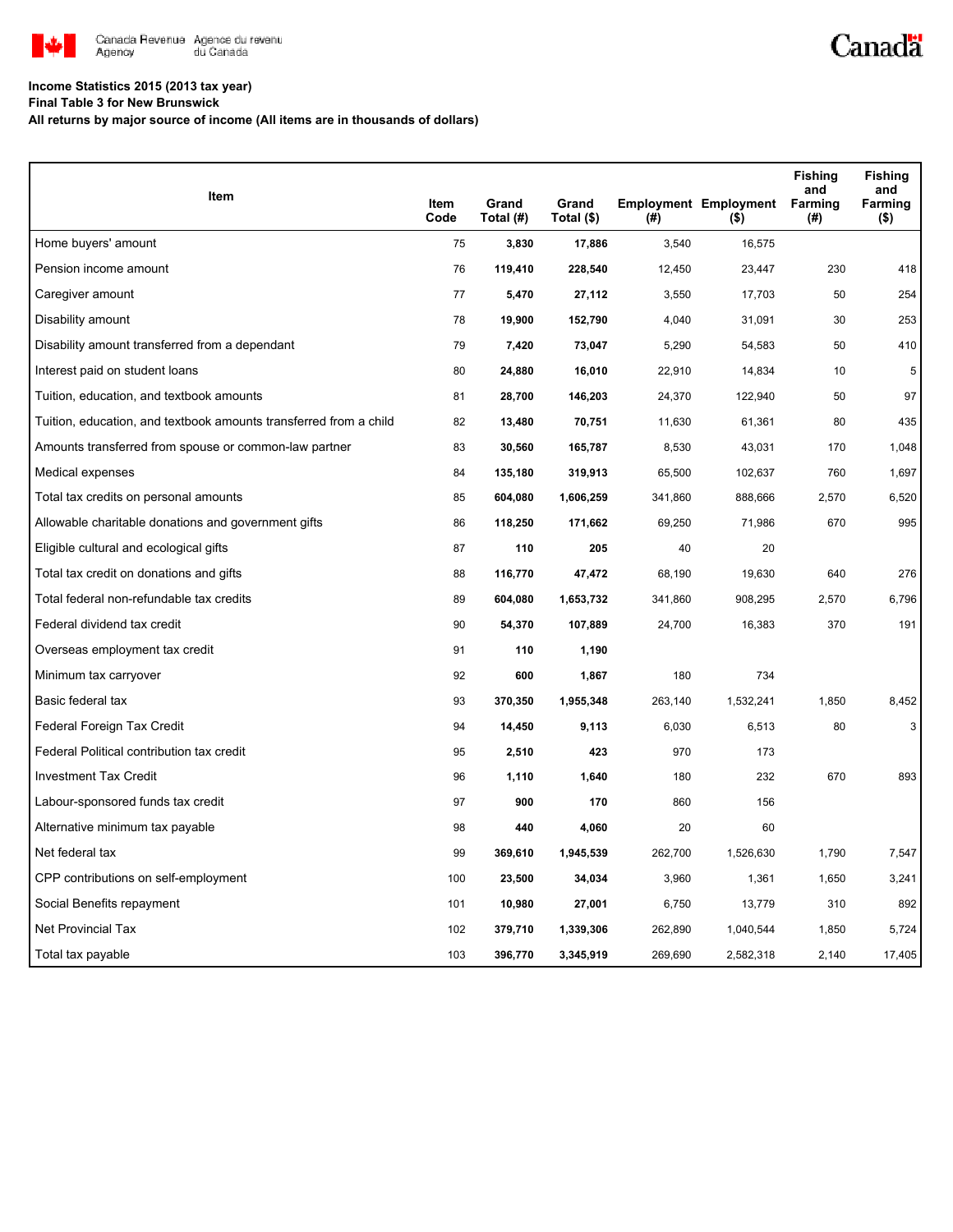

## **Income Statistics 2015 (2013 tax year)**

**Final Table 3 for New Brunswick**

**All returns by major source of income (All items are in thousands of dollars)**

| Item                                                              |              |                    |                     |         |                                         | <b>Fishing</b><br>and | <b>Fishing</b><br>and |
|-------------------------------------------------------------------|--------------|--------------------|---------------------|---------|-----------------------------------------|-----------------------|-----------------------|
|                                                                   | Item<br>Code | Grand<br>Total (#) | Grand<br>Total (\$) | (#)     | <b>Employment Employment</b><br>$($ \$) | Farming<br>(#)        | Farming<br>(\$)       |
| Home buyers' amount                                               | 75           | 3,830              | 17,886              | 3,540   | 16,575                                  |                       |                       |
| Pension income amount                                             | 76           | 119,410            | 228,540             | 12,450  | 23,447                                  | 230                   | 418                   |
| Caregiver amount                                                  | 77           | 5,470              | 27,112              | 3,550   | 17,703                                  | 50                    | 254                   |
| Disability amount                                                 | 78           | 19,900             | 152,790             | 4,040   | 31,091                                  | 30                    | 253                   |
| Disability amount transferred from a dependant                    | 79           | 7,420              | 73,047              | 5,290   | 54,583                                  | 50                    | 410                   |
| Interest paid on student loans                                    | 80           | 24,880             | 16,010              | 22,910  | 14,834                                  | 10                    | 5                     |
| Tuition, education, and textbook amounts                          | 81           | 28,700             | 146,203             | 24,370  | 122,940                                 | 50                    | 97                    |
| Tuition, education, and textbook amounts transferred from a child | 82           | 13,480             | 70,751              | 11,630  | 61,361                                  | 80                    | 435                   |
| Amounts transferred from spouse or common-law partner             | 83           | 30,560             | 165,787             | 8,530   | 43,031                                  | 170                   | 1,048                 |
| Medical expenses                                                  | 84           | 135,180            | 319,913             | 65,500  | 102,637                                 | 760                   | 1,697                 |
| Total tax credits on personal amounts                             | 85           | 604,080            | 1,606,259           | 341,860 | 888,666                                 | 2,570                 | 6,520                 |
| Allowable charitable donations and government gifts               | 86           | 118,250            | 171,662             | 69,250  | 71,986                                  | 670                   | 995                   |
| Eligible cultural and ecological gifts                            | 87           | 110                | 205                 | 40      | 20                                      |                       |                       |
| Total tax credit on donations and gifts                           | 88           | 116,770            | 47,472              | 68,190  | 19,630                                  | 640                   | 276                   |
| Total federal non-refundable tax credits                          | 89           | 604,080            | 1,653,732           | 341,860 | 908,295                                 | 2,570                 | 6,796                 |
| Federal dividend tax credit                                       | 90           | 54,370             | 107,889             | 24,700  | 16,383                                  | 370                   | 191                   |
| Overseas employment tax credit                                    | 91           | 110                | 1,190               |         |                                         |                       |                       |
| Minimum tax carryover                                             | 92           | 600                | 1,867               | 180     | 734                                     |                       |                       |
| Basic federal tax                                                 | 93           | 370,350            | 1,955,348           | 263,140 | 1,532,241                               | 1,850                 | 8,452                 |
| Federal Foreign Tax Credit                                        | 94           | 14,450             | 9,113               | 6,030   | 6,513                                   | 80                    | 3                     |
| Federal Political contribution tax credit                         | 95           | 2,510              | 423                 | 970     | 173                                     |                       |                       |
| <b>Investment Tax Credit</b>                                      | 96           | 1,110              | 1,640               | 180     | 232                                     | 670                   | 893                   |
| Labour-sponsored funds tax credit                                 | 97           | 900                | 170                 | 860     | 156                                     |                       |                       |
| Alternative minimum tax payable                                   | 98           | 440                | 4,060               | 20      | 60                                      |                       |                       |
| Net federal tax                                                   | 99           | 369,610            | 1,945,539           | 262,700 | 1,526,630                               | 1,790                 | 7,547                 |
| CPP contributions on self-employment                              | 100          | 23,500             | 34,034              | 3,960   | 1,361                                   | 1,650                 | 3,241                 |
| Social Benefits repayment                                         | 101          | 10,980             | 27,001              | 6,750   | 13,779                                  | 310                   | 892                   |
| <b>Net Provincial Tax</b>                                         | 102          | 379,710            | 1,339,306           | 262,890 | 1,040,544                               | 1,850                 | 5,724                 |
| Total tax payable                                                 | 103          | 396,770            | 3,345,919           | 269,690 | 2,582,318                               | 2,140                 | 17,405                |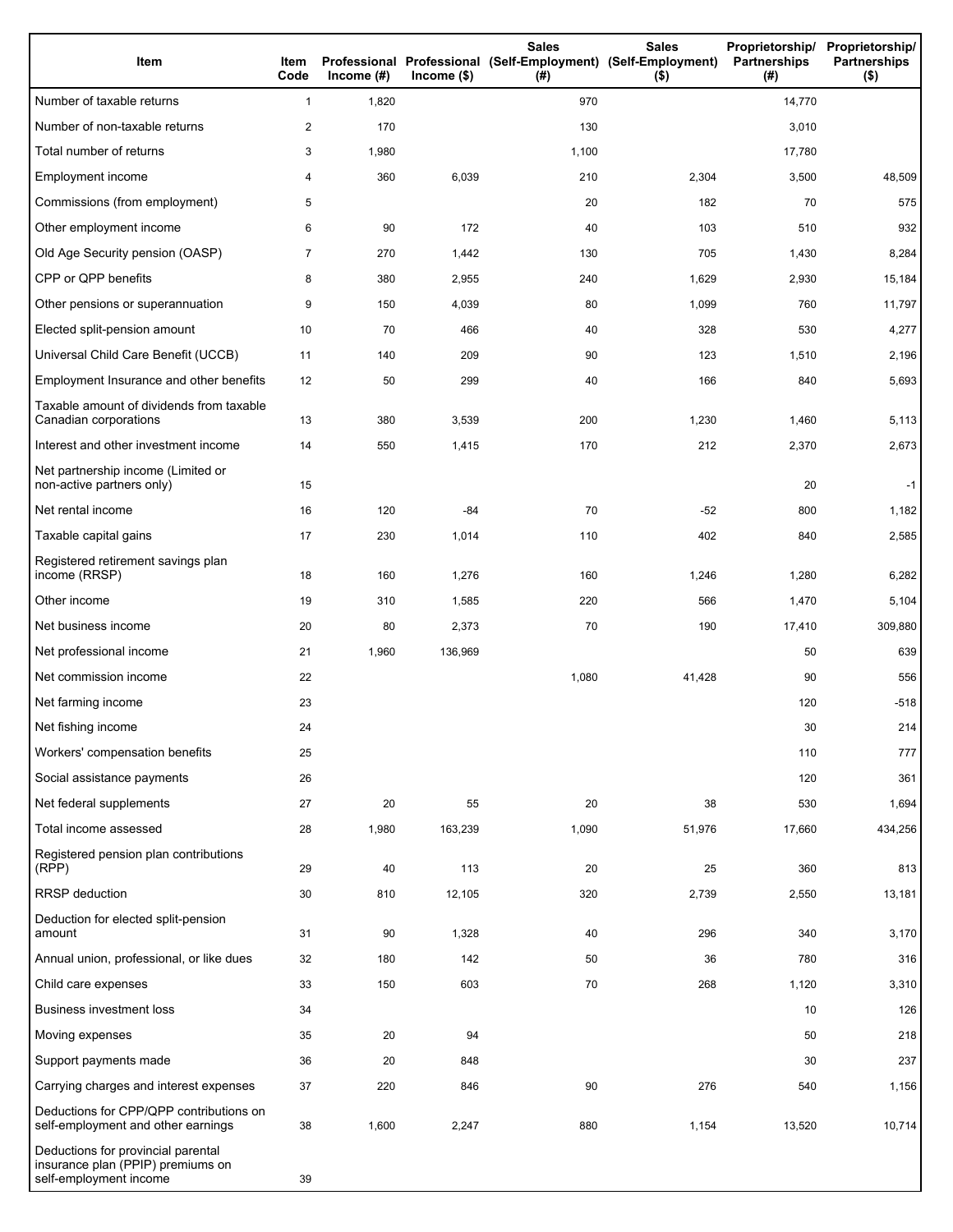| Item                                                                                              | Item<br>Code   | Income $(\#)$ | $Income$ (\$) | <b>Sales</b><br>Professional Professional (Self-Employment) (Self-Employment)<br>(#) | <b>Sales</b><br>$($ \$) | Proprietorship/ Proprietorship/<br><b>Partnerships</b><br>(#) | <b>Partnerships</b><br>$($ \$) |
|---------------------------------------------------------------------------------------------------|----------------|---------------|---------------|--------------------------------------------------------------------------------------|-------------------------|---------------------------------------------------------------|--------------------------------|
| Number of taxable returns                                                                         | $\mathbf{1}$   | 1,820         |               | 970                                                                                  |                         | 14,770                                                        |                                |
| Number of non-taxable returns                                                                     | 2              | 170           |               | 130                                                                                  |                         | 3,010                                                         |                                |
| Total number of returns                                                                           | 3              | 1,980         |               | 1,100                                                                                |                         | 17,780                                                        |                                |
| Employment income                                                                                 | 4              | 360           | 6,039         | 210                                                                                  | 2,304                   | 3,500                                                         | 48,509                         |
| Commissions (from employment)                                                                     | 5              |               |               | 20                                                                                   | 182                     | 70                                                            | 575                            |
| Other employment income                                                                           | 6              | 90            | 172           | 40                                                                                   | 103                     | 510                                                           | 932                            |
| Old Age Security pension (OASP)                                                                   | $\overline{7}$ | 270           | 1,442         | 130                                                                                  | 705                     | 1,430                                                         | 8,284                          |
| CPP or QPP benefits                                                                               | 8              | 380           | 2,955         | 240                                                                                  | 1,629                   | 2,930                                                         | 15,184                         |
| Other pensions or superannuation                                                                  | 9              | 150           | 4,039         | 80                                                                                   | 1,099                   | 760                                                           | 11,797                         |
| Elected split-pension amount                                                                      | 10             | 70            | 466           | 40                                                                                   | 328                     | 530                                                           | 4,277                          |
| Universal Child Care Benefit (UCCB)                                                               | 11             | 140           | 209           | 90                                                                                   | 123                     | 1,510                                                         | 2,196                          |
| Employment Insurance and other benefits                                                           | 12             | 50            | 299           | 40                                                                                   | 166                     | 840                                                           | 5,693                          |
| Taxable amount of dividends from taxable<br>Canadian corporations                                 | 13             | 380           | 3,539         | 200                                                                                  | 1,230                   | 1,460                                                         | 5,113                          |
| Interest and other investment income                                                              | 14             | 550           | 1,415         | 170                                                                                  | 212                     | 2,370                                                         | 2,673                          |
| Net partnership income (Limited or<br>non-active partners only)                                   | 15             |               |               |                                                                                      |                         | 20                                                            | $-1$                           |
| Net rental income                                                                                 | 16             | 120           | $-84$         | 70                                                                                   | $-52$                   | 800                                                           | 1,182                          |
| Taxable capital gains                                                                             | 17             | 230           | 1,014         | 110                                                                                  | 402                     | 840                                                           | 2,585                          |
| Registered retirement savings plan<br>income (RRSP)                                               | 18             | 160           | 1,276         | 160                                                                                  | 1,246                   | 1,280                                                         | 6,282                          |
| Other income                                                                                      | 19             | 310           | 1,585         | 220                                                                                  | 566                     | 1,470                                                         | 5,104                          |
| Net business income                                                                               | 20             | 80            | 2,373         | 70                                                                                   | 190                     | 17,410                                                        | 309,880                        |
| Net professional income                                                                           | 21             | 1,960         | 136,969       |                                                                                      |                         | 50                                                            | 639                            |
| Net commission income                                                                             | 22             |               |               | 1,080                                                                                | 41,428                  | 90                                                            | 556                            |
| Net farming income                                                                                | 23             |               |               |                                                                                      |                         | 120                                                           | $-518$                         |
| Net fishing income                                                                                | 24             |               |               |                                                                                      |                         | 30                                                            | 214                            |
| Workers' compensation benefits                                                                    | 25             |               |               |                                                                                      |                         | 110                                                           | 777                            |
| Social assistance payments                                                                        | 26             |               |               |                                                                                      |                         | 120                                                           | 361                            |
| Net federal supplements                                                                           | 27             | 20            | 55            | 20                                                                                   | 38                      | 530                                                           | 1,694                          |
| Total income assessed                                                                             | 28             | 1,980         | 163,239       | 1,090                                                                                | 51,976                  | 17,660                                                        | 434,256                        |
| Registered pension plan contributions<br>(RPP)                                                    | 29             | 40            | 113           | 20                                                                                   | 25                      | 360                                                           | 813                            |
| RRSP deduction                                                                                    | 30             | 810           | 12,105        | 320                                                                                  | 2,739                   | 2,550                                                         | 13,181                         |
| Deduction for elected split-pension<br>amount                                                     | 31             | 90            | 1,328         | 40                                                                                   | 296                     | 340                                                           | 3,170                          |
| Annual union, professional, or like dues                                                          | 32             | 180           | 142           | 50                                                                                   | 36                      | 780                                                           | 316                            |
| Child care expenses                                                                               | 33             | 150           | 603           | 70                                                                                   | 268                     | 1,120                                                         | 3,310                          |
| <b>Business investment loss</b>                                                                   | 34             |               |               |                                                                                      |                         | 10                                                            | 126                            |
| Moving expenses                                                                                   | 35             | 20            | 94            |                                                                                      |                         | 50                                                            | 218                            |
| Support payments made                                                                             | 36             | 20            | 848           |                                                                                      |                         | 30                                                            | 237                            |
| Carrying charges and interest expenses                                                            | 37             | 220           | 846           | 90                                                                                   | 276                     | 540                                                           | 1,156                          |
| Deductions for CPP/QPP contributions on<br>self-employment and other earnings                     | 38             | 1,600         | 2,247         | 880                                                                                  | 1,154                   | 13,520                                                        | 10,714                         |
| Deductions for provincial parental<br>insurance plan (PPIP) premiums on<br>self-employment income | 39             |               |               |                                                                                      |                         |                                                               |                                |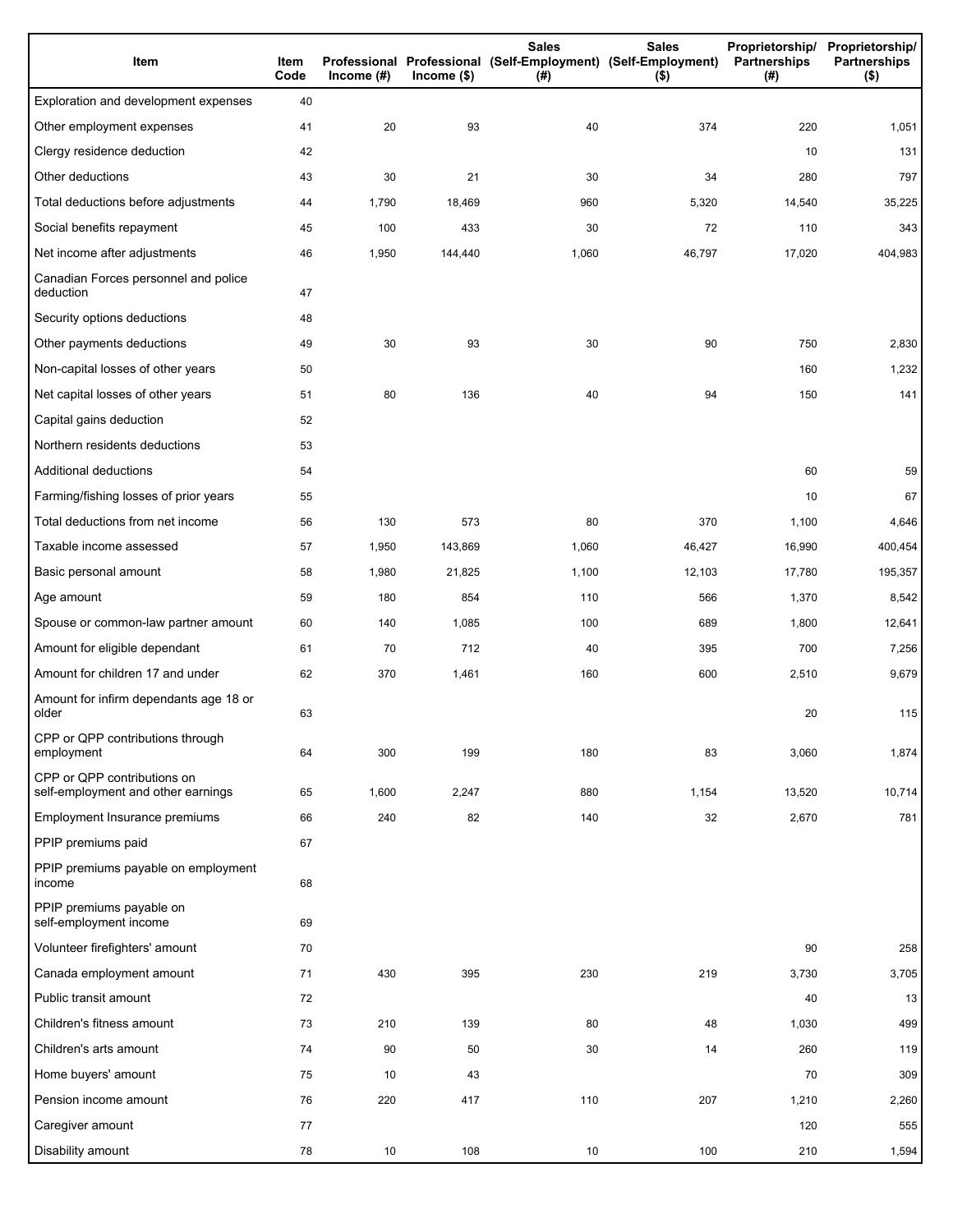| Item                                                              | Item<br>Code | Income $(\#)$ | $lncome$ (\$) | <b>Sales</b><br><b>Sales</b><br>Professional Professional (Self-Employment) (Self-Employment)<br>(# )<br>$($ \$) |        | Proprietorship/<br>Partnerships<br>(#) | Proprietorship/<br><b>Partnerships</b><br>$($ \$) |
|-------------------------------------------------------------------|--------------|---------------|---------------|------------------------------------------------------------------------------------------------------------------|--------|----------------------------------------|---------------------------------------------------|
| Exploration and development expenses                              | 40           |               |               |                                                                                                                  |        |                                        |                                                   |
| Other employment expenses                                         | 41           | 20            | 93            | 40                                                                                                               | 374    | 220                                    | 1,051                                             |
| Clergy residence deduction                                        | 42           |               |               |                                                                                                                  |        | 10                                     | 131                                               |
| Other deductions                                                  | 43           | 30            | 21            | 30                                                                                                               | 34     | 280                                    | 797                                               |
| Total deductions before adjustments                               | 44           | 1,790         | 18,469        | 960                                                                                                              | 5,320  | 14,540                                 | 35,225                                            |
| Social benefits repayment                                         | 45           | 100           | 433           | 30                                                                                                               | 72     | 110                                    | 343                                               |
| Net income after adjustments                                      | 46           | 1,950         | 144,440       | 1,060                                                                                                            | 46,797 | 17,020                                 | 404,983                                           |
| Canadian Forces personnel and police<br>deduction                 | 47           |               |               |                                                                                                                  |        |                                        |                                                   |
| Security options deductions                                       | 48           |               |               |                                                                                                                  |        |                                        |                                                   |
| Other payments deductions                                         | 49           | 30            | 93            | 30                                                                                                               | 90     | 750                                    | 2,830                                             |
| Non-capital losses of other years                                 | 50           |               |               |                                                                                                                  |        | 160                                    | 1,232                                             |
| Net capital losses of other years                                 | 51           | 80            | 136           | 40                                                                                                               | 94     | 150                                    | 141                                               |
| Capital gains deduction                                           | 52           |               |               |                                                                                                                  |        |                                        |                                                   |
| Northern residents deductions                                     | 53           |               |               |                                                                                                                  |        |                                        |                                                   |
| Additional deductions                                             | 54           |               |               |                                                                                                                  |        | 60                                     | 59                                                |
| Farming/fishing losses of prior years                             | 55           |               |               |                                                                                                                  |        | 10                                     | 67                                                |
| Total deductions from net income                                  | 56           | 130           | 573           | 80                                                                                                               | 370    | 1,100                                  | 4,646                                             |
| Taxable income assessed                                           | 57           | 1,950         | 143,869       | 1,060                                                                                                            | 46,427 | 16,990                                 | 400,454                                           |
| Basic personal amount                                             | 58           | 1,980         | 21,825        | 1,100                                                                                                            | 12,103 | 17,780                                 | 195,357                                           |
| Age amount                                                        | 59           | 180           | 854           | 110                                                                                                              | 566    | 1,370                                  | 8,542                                             |
| Spouse or common-law partner amount                               | 60           | 140           | 1,085         | 100                                                                                                              | 689    | 1,800                                  | 12,641                                            |
| Amount for eligible dependant                                     | 61           | 70            | 712           | 40                                                                                                               | 395    | 700                                    | 7,256                                             |
| Amount for children 17 and under                                  | 62           | 370           | 1,461         | 160                                                                                                              | 600    | 2,510                                  | 9,679                                             |
| Amount for infirm dependants age 18 or<br>older                   | 63           |               |               |                                                                                                                  |        | 20                                     | 115                                               |
| CPP or QPP contributions through<br>employment                    | 64           | 300           | 199           | 180                                                                                                              | 83     | 3,060                                  | 1,874                                             |
| CPP or QPP contributions on<br>self-employment and other earnings | 65           | 1,600         | 2,247         | 880                                                                                                              | 1,154  | 13,520                                 | 10,714                                            |
| Employment Insurance premiums                                     | 66           | 240           | 82            | 140                                                                                                              | 32     | 2,670                                  | 781                                               |
| PPIP premiums paid                                                | 67           |               |               |                                                                                                                  |        |                                        |                                                   |
| PPIP premiums payable on employment<br>income                     | 68           |               |               |                                                                                                                  |        |                                        |                                                   |
| PPIP premiums payable on<br>self-employment income                | 69           |               |               |                                                                                                                  |        |                                        |                                                   |
| Volunteer firefighters' amount                                    | 70           |               |               |                                                                                                                  |        | 90                                     | 258                                               |
| Canada employment amount                                          | 71           | 430           | 395           | 230                                                                                                              | 219    | 3,730                                  | 3,705                                             |
| Public transit amount                                             | 72           |               |               |                                                                                                                  |        | 40                                     | 13                                                |
| Children's fitness amount                                         | 73           | 210           | 139           | 80                                                                                                               | 48     | 1,030                                  | 499                                               |
| Children's arts amount                                            | 74           | 90            | 50            | 30                                                                                                               | 14     | 260                                    | 119                                               |
| Home buyers' amount                                               | 75           | 10            | 43            |                                                                                                                  |        | 70                                     | 309                                               |
| Pension income amount                                             | 76           | 220           | 417           | 110                                                                                                              | 207    | 1,210                                  | 2,260                                             |
| Caregiver amount                                                  | 77           |               |               |                                                                                                                  |        | 120                                    | 555                                               |
| Disability amount                                                 | 78           | $10$          | 108           | 10                                                                                                               | 100    | 210                                    | 1,594                                             |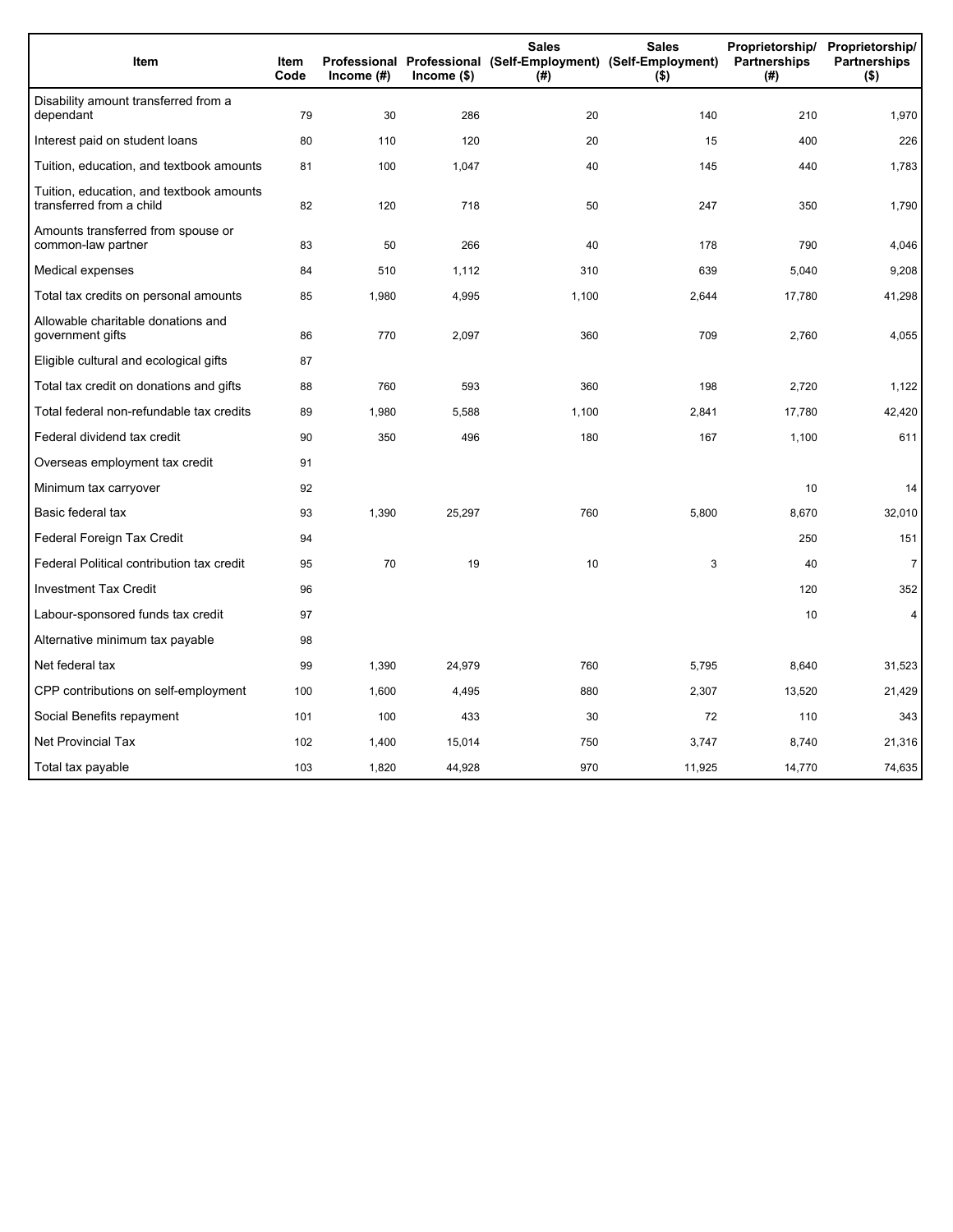| Item                                                                 | <b>Item</b><br>Code | Income (#) | $lncome$ (\$) | <b>Sales</b><br>Professional Professional (Self-Employment) (Self-Employment)<br>(#) | <b>Sales</b><br>$($ \$) | Proprietorship/<br>Partnerships<br>(#) | Proprietorship/<br><b>Partnerships</b><br>$($ \$) |
|----------------------------------------------------------------------|---------------------|------------|---------------|--------------------------------------------------------------------------------------|-------------------------|----------------------------------------|---------------------------------------------------|
| Disability amount transferred from a<br>dependant                    | 79                  | 30         | 286           | 20                                                                                   | 140                     | 210                                    | 1,970                                             |
| Interest paid on student loans                                       | 80                  | 110        | 120           | 20                                                                                   | 15                      | 400                                    | 226                                               |
| Tuition, education, and textbook amounts                             | 81                  | 100        | 1,047         | 40                                                                                   | 145                     | 440                                    | 1,783                                             |
| Tuition, education, and textbook amounts<br>transferred from a child | 82                  | 120        | 718           | 50                                                                                   | 247                     | 350                                    | 1,790                                             |
| Amounts transferred from spouse or<br>common-law partner             | 83                  | 50         | 266           | 40                                                                                   | 178                     | 790                                    | 4,046                                             |
| Medical expenses                                                     | 84                  | 510        | 1,112         | 310                                                                                  | 639                     | 5,040                                  | 9,208                                             |
| Total tax credits on personal amounts                                | 85                  | 1,980      | 4,995         | 1,100                                                                                | 2,644                   | 17,780                                 | 41,298                                            |
| Allowable charitable donations and<br>government gifts               | 86                  | 770        | 2,097         | 360                                                                                  | 709                     | 2,760                                  | 4,055                                             |
| Eligible cultural and ecological gifts                               | 87                  |            |               |                                                                                      |                         |                                        |                                                   |
| Total tax credit on donations and gifts                              | 88                  | 760        | 593           | 360                                                                                  | 198                     | 2.720                                  | 1,122                                             |
| Total federal non-refundable tax credits                             | 89                  | 1,980      | 5,588         | 1,100                                                                                | 2,841                   | 17,780                                 | 42,420                                            |
| Federal dividend tax credit                                          | 90                  | 350        | 496           | 180                                                                                  | 167                     | 1,100                                  | 611                                               |
| Overseas employment tax credit                                       | 91                  |            |               |                                                                                      |                         |                                        |                                                   |
| Minimum tax carryover                                                | 92                  |            |               |                                                                                      |                         | 10                                     | 14                                                |
| Basic federal tax                                                    | 93                  | 1,390      | 25,297        | 760                                                                                  | 5,800                   | 8,670                                  | 32,010                                            |
| Federal Foreign Tax Credit                                           | 94                  |            |               |                                                                                      |                         | 250                                    | 151                                               |
| Federal Political contribution tax credit                            | 95                  | 70         | 19            | 10                                                                                   | 3                       | 40                                     | $\overline{7}$                                    |
| <b>Investment Tax Credit</b>                                         | 96                  |            |               |                                                                                      |                         | 120                                    | 352                                               |
| Labour-sponsored funds tax credit                                    | 97                  |            |               |                                                                                      |                         | 10                                     | 4                                                 |
| Alternative minimum tax payable                                      | 98                  |            |               |                                                                                      |                         |                                        |                                                   |
| Net federal tax                                                      | 99                  | 1,390      | 24,979        | 760                                                                                  | 5,795                   | 8,640                                  | 31,523                                            |
| CPP contributions on self-employment                                 | 100                 | 1,600      | 4,495         | 880                                                                                  | 2,307                   | 13,520                                 | 21,429                                            |
| Social Benefits repayment                                            | 101                 | 100        | 433           | 30                                                                                   | 72                      | 110                                    | 343                                               |
| Net Provincial Tax                                                   | 102                 | 1,400      | 15,014        | 750                                                                                  | 3,747                   | 8,740                                  | 21,316                                            |
| Total tax payable                                                    | 103                 | 1,820      | 44,928        | 970                                                                                  | 11,925                  | 14,770                                 | 74,635                                            |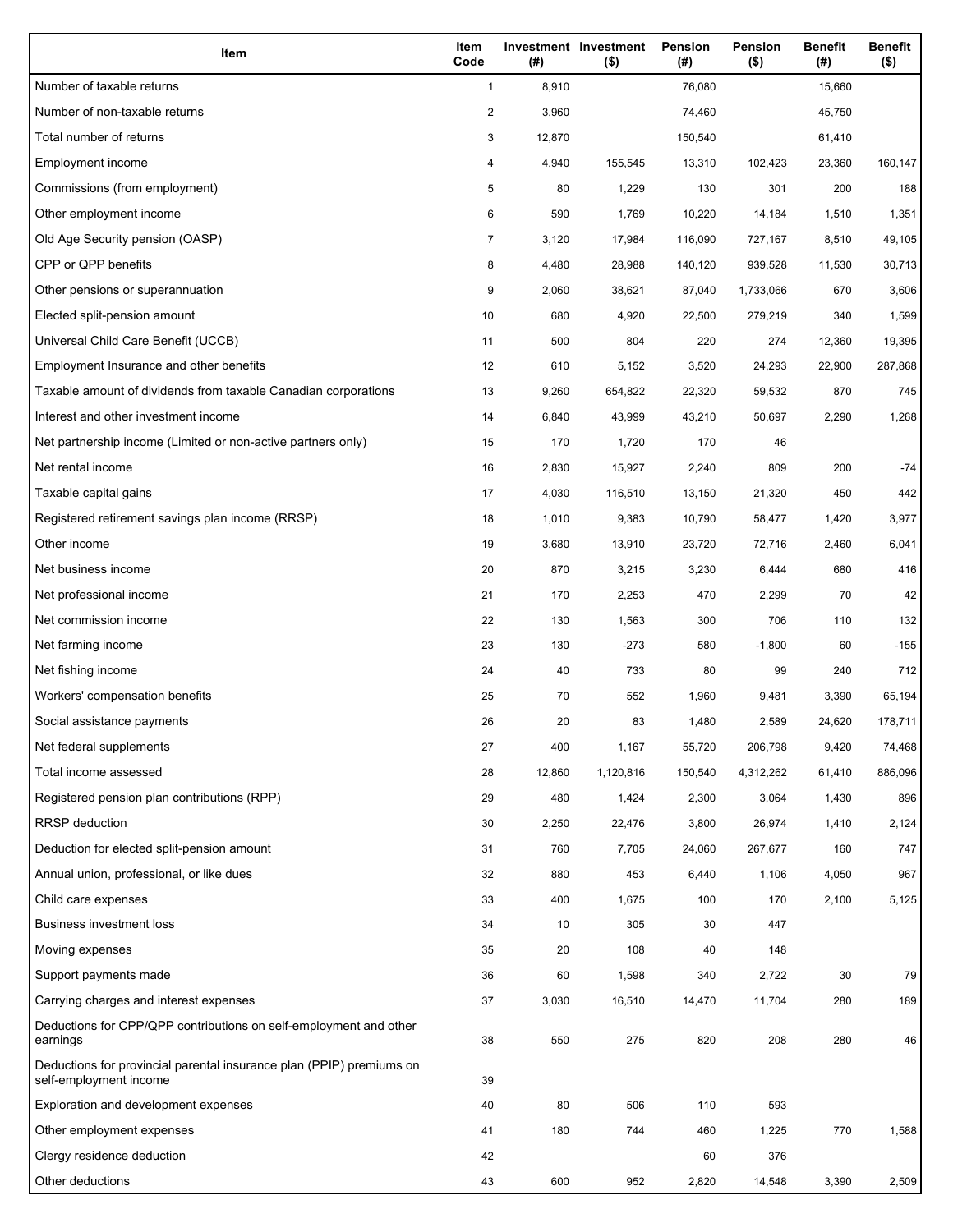| Item                                                                                           | Item<br>Code            | (# )   | Investment Investment<br>$($ \$) | Pension<br>(#) | Pension<br>$($ \$) | <b>Benefit</b><br>(#) | <b>Benefit</b><br>$($ \$) |
|------------------------------------------------------------------------------------------------|-------------------------|--------|----------------------------------|----------------|--------------------|-----------------------|---------------------------|
| Number of taxable returns                                                                      | $\mathbf{1}$            | 8,910  |                                  | 76,080         |                    | 15,660                |                           |
| Number of non-taxable returns                                                                  | $\overline{\mathbf{c}}$ | 3,960  |                                  | 74,460         |                    | 45,750                |                           |
| Total number of returns                                                                        | 3                       | 12,870 |                                  | 150,540        |                    | 61,410                |                           |
| Employment income                                                                              | 4                       | 4,940  | 155,545                          | 13,310         | 102,423            | 23,360                | 160,147                   |
| Commissions (from employment)                                                                  | 5                       | 80     | 1,229                            | 130            | 301                | 200                   | 188                       |
| Other employment income                                                                        | 6                       | 590    | 1,769                            | 10,220         | 14,184             | 1,510                 | 1,351                     |
| Old Age Security pension (OASP)                                                                | 7                       | 3,120  | 17,984                           | 116,090        | 727,167            | 8,510                 | 49,105                    |
| CPP or QPP benefits                                                                            | 8                       | 4,480  | 28,988                           | 140,120        | 939,528            | 11,530                | 30,713                    |
| Other pensions or superannuation                                                               | 9                       | 2,060  | 38,621                           | 87,040         | 1,733,066          | 670                   | 3,606                     |
| Elected split-pension amount                                                                   | 10                      | 680    | 4,920                            | 22,500         | 279,219            | 340                   | 1,599                     |
| Universal Child Care Benefit (UCCB)                                                            | 11                      | 500    | 804                              | 220            | 274                | 12,360                | 19,395                    |
| Employment Insurance and other benefits                                                        | 12                      | 610    | 5,152                            | 3,520          | 24,293             | 22,900                | 287,868                   |
| Taxable amount of dividends from taxable Canadian corporations                                 | 13                      | 9,260  | 654,822                          | 22,320         | 59,532             | 870                   | 745                       |
| Interest and other investment income                                                           | 14                      | 6,840  | 43,999                           | 43,210         | 50,697             | 2,290                 | 1,268                     |
| Net partnership income (Limited or non-active partners only)                                   | 15                      | 170    | 1,720                            | 170            | 46                 |                       |                           |
| Net rental income                                                                              | 16                      | 2,830  | 15,927                           | 2,240          | 809                | 200                   | $-74$                     |
| Taxable capital gains                                                                          | 17                      | 4,030  | 116,510                          | 13,150         | 21,320             | 450                   | 442                       |
| Registered retirement savings plan income (RRSP)                                               | 18                      | 1,010  | 9,383                            | 10,790         | 58,477             | 1,420                 | 3,977                     |
| Other income                                                                                   | 19                      | 3,680  | 13,910                           | 23,720         | 72,716             | 2,460                 | 6,041                     |
| Net business income                                                                            | 20                      | 870    | 3,215                            | 3,230          | 6,444              | 680                   | 416                       |
| Net professional income                                                                        | 21                      | 170    | 2,253                            | 470            | 2,299              | 70                    | 42                        |
| Net commission income                                                                          | 22                      | 130    | 1,563                            | 300            | 706                | 110                   | 132                       |
| Net farming income                                                                             | 23                      | 130    | $-273$                           | 580            | $-1,800$           | 60                    | $-155$                    |
| Net fishing income                                                                             | 24                      | 40     | 733                              | 80             | 99                 | 240                   | 712                       |
| Workers' compensation benefits                                                                 | 25                      | 70     | 552                              | 1,960          | 9,481              | 3,390                 | 65,194                    |
| Social assistance payments                                                                     | 26                      | 20     | 83                               | 1,480          | 2,589              | 24,620                | 178,711                   |
| Net federal supplements                                                                        | 27                      | 400    | 1,167                            | 55,720         | 206,798            | 9,420                 | 74,468                    |
| Total income assessed                                                                          | 28                      | 12,860 | 1,120,816                        | 150,540        | 4,312,262          | 61,410                | 886,096                   |
| Registered pension plan contributions (RPP)                                                    | 29                      | 480    | 1,424                            | 2,300          | 3,064              | 1,430                 | 896                       |
| <b>RRSP</b> deduction                                                                          | 30                      | 2,250  | 22,476                           | 3,800          | 26,974             | 1,410                 | 2,124                     |
| Deduction for elected split-pension amount                                                     | 31                      | 760    | 7,705                            | 24,060         | 267,677            | 160                   | 747                       |
| Annual union, professional, or like dues                                                       | 32                      | 880    | 453                              | 6,440          | 1,106              | 4,050                 | 967                       |
| Child care expenses                                                                            | 33                      | 400    | 1,675                            | 100            | 170                | 2,100                 | 5,125                     |
| <b>Business investment loss</b>                                                                | 34                      | 10     | 305                              | 30             | 447                |                       |                           |
| Moving expenses                                                                                | 35                      | 20     | 108                              | 40             | 148                |                       |                           |
| Support payments made                                                                          | 36                      | 60     | 1,598                            | 340            | 2,722              | 30                    | 79                        |
| Carrying charges and interest expenses                                                         | 37                      | 3,030  | 16,510                           | 14,470         | 11,704             | 280                   | 189                       |
| Deductions for CPP/QPP contributions on self-employment and other<br>earnings                  | 38                      | 550    | 275                              | 820            | 208                | 280                   | 46                        |
| Deductions for provincial parental insurance plan (PPIP) premiums on<br>self-employment income | 39                      |        |                                  |                |                    |                       |                           |
| Exploration and development expenses                                                           | 40                      | 80     | 506                              | 110            | 593                |                       |                           |
| Other employment expenses                                                                      | 41                      | 180    | 744                              | 460            | 1,225              | 770                   | 1,588                     |
| Clergy residence deduction                                                                     | 42                      |        |                                  | 60             | 376                |                       |                           |
| Other deductions                                                                               | 43                      | 600    | 952                              | 2,820          | 14,548             | 3,390                 | 2,509                     |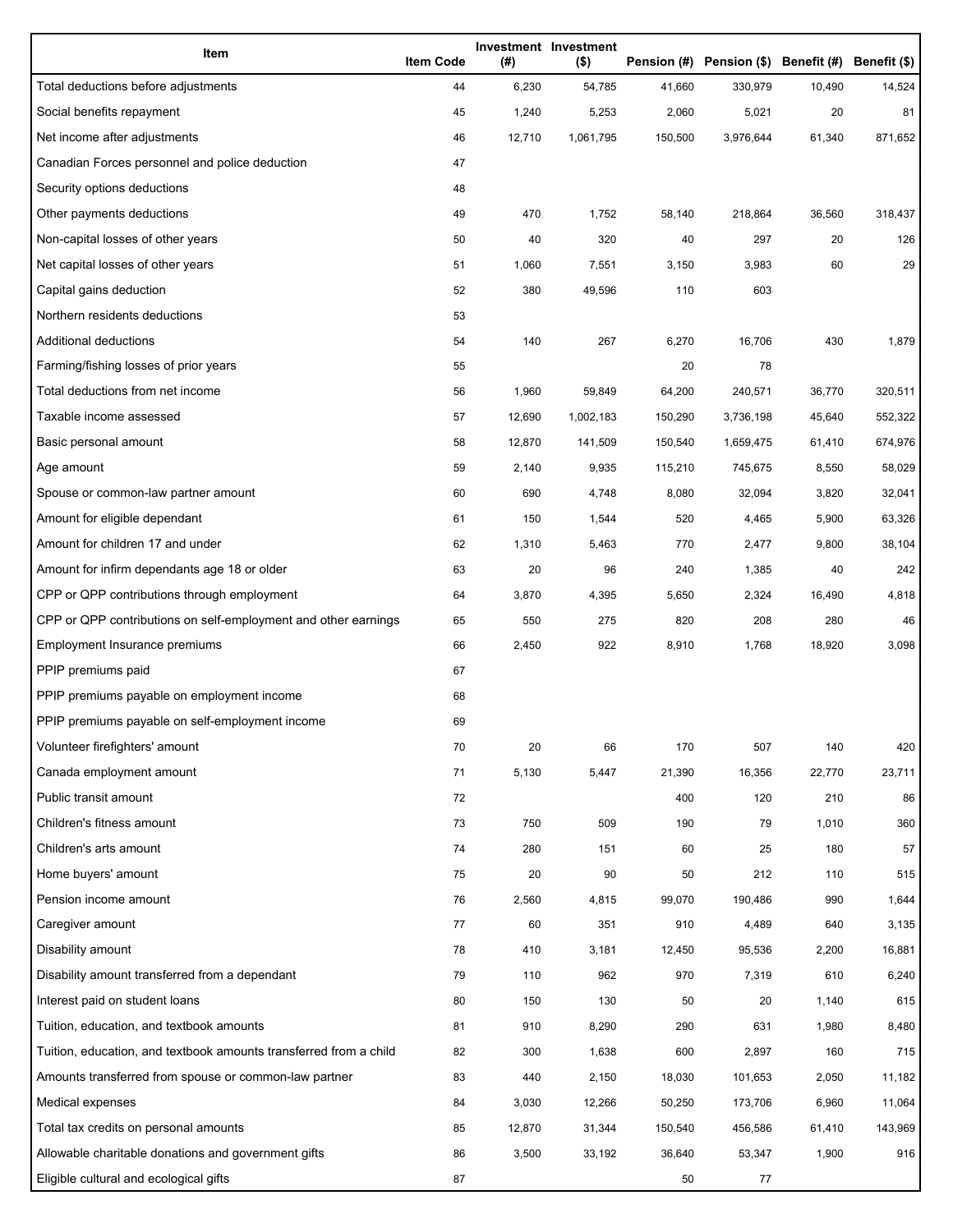| Item                                                              | <b>Item Code</b> | (#)    | Investment Investment<br>$($ \$) |         | Pension (#) Pension (\$) Benefit (#) Benefit (\$) |        |         |
|-------------------------------------------------------------------|------------------|--------|----------------------------------|---------|---------------------------------------------------|--------|---------|
| Total deductions before adjustments                               | 44               | 6,230  | 54,785                           | 41,660  | 330,979                                           | 10,490 | 14,524  |
| Social benefits repayment                                         | 45               | 1,240  | 5,253                            | 2,060   | 5,021                                             | 20     | 81      |
| Net income after adjustments                                      | 46               | 12,710 | 1,061,795                        | 150,500 | 3,976,644                                         | 61,340 | 871,652 |
| Canadian Forces personnel and police deduction                    | 47               |        |                                  |         |                                                   |        |         |
| Security options deductions                                       | 48               |        |                                  |         |                                                   |        |         |
| Other payments deductions                                         | 49               | 470    | 1,752                            | 58,140  | 218,864                                           | 36,560 | 318,437 |
| Non-capital losses of other years                                 | 50               | 40     | 320                              | 40      | 297                                               | 20     | 126     |
| Net capital losses of other years                                 | 51               | 1,060  | 7,551                            | 3,150   | 3,983                                             | 60     | 29      |
| Capital gains deduction                                           | 52               | 380    | 49,596                           | 110     | 603                                               |        |         |
| Northern residents deductions                                     | 53               |        |                                  |         |                                                   |        |         |
| Additional deductions                                             | 54               | 140    | 267                              | 6,270   | 16,706                                            | 430    | 1,879   |
| Farming/fishing losses of prior years                             | 55               |        |                                  | 20      | 78                                                |        |         |
| Total deductions from net income                                  | 56               | 1,960  | 59,849                           | 64,200  | 240,571                                           | 36,770 | 320,511 |
| Taxable income assessed                                           | 57               | 12,690 | 1,002,183                        | 150,290 | 3,736,198                                         | 45,640 | 552,322 |
| Basic personal amount                                             | 58               | 12,870 | 141,509                          | 150,540 | 1,659,475                                         | 61,410 | 674,976 |
| Age amount                                                        | 59               | 2,140  | 9,935                            | 115,210 | 745,675                                           | 8,550  | 58,029  |
| Spouse or common-law partner amount                               | 60               | 690    | 4,748                            | 8,080   | 32,094                                            | 3,820  | 32,041  |
| Amount for eligible dependant                                     | 61               | 150    | 1,544                            | 520     | 4,465                                             | 5,900  | 63,326  |
| Amount for children 17 and under                                  | 62               | 1,310  | 5,463                            | 770     | 2,477                                             | 9,800  | 38,104  |
| Amount for infirm dependants age 18 or older                      | 63               | 20     | 96                               | 240     | 1,385                                             | 40     | 242     |
| CPP or QPP contributions through employment                       | 64               | 3,870  | 4,395                            | 5,650   | 2,324                                             | 16,490 | 4,818   |
| CPP or QPP contributions on self-employment and other earnings    | 65               | 550    | 275                              | 820     | 208                                               | 280    | 46      |
| Employment Insurance premiums                                     | 66               | 2,450  | 922                              | 8,910   | 1,768                                             | 18,920 | 3,098   |
| PPIP premiums paid                                                | 67               |        |                                  |         |                                                   |        |         |
| PPIP premiums payable on employment income                        | 68               |        |                                  |         |                                                   |        |         |
| PPIP premiums payable on self-employment income                   | 69               |        |                                  |         |                                                   |        |         |
| Volunteer firefighters' amount                                    | 70               | 20     | 66                               | 170     | 507                                               | 140    | 420     |
| Canada employment amount                                          | 71               | 5,130  | 5,447                            | 21,390  | 16,356                                            | 22,770 | 23,711  |
| Public transit amount                                             | 72               |        |                                  | 400     | 120                                               | 210    | 86      |
| Children's fitness amount                                         | 73               | 750    | 509                              | 190     | 79                                                | 1,010  | 360     |
| Children's arts amount                                            | 74               | 280    | 151                              | 60      | 25                                                | 180    | 57      |
| Home buyers' amount                                               | 75               | 20     | 90                               | 50      | 212                                               | 110    | 515     |
| Pension income amount                                             | 76               | 2,560  | 4,815                            | 99,070  | 190,486                                           | 990    | 1,644   |
| Caregiver amount                                                  | 77               | 60     | 351                              | 910     | 4,489                                             | 640    | 3,135   |
| Disability amount                                                 | 78               | 410    | 3,181                            | 12,450  | 95,536                                            | 2,200  | 16,881  |
| Disability amount transferred from a dependant                    | 79               | 110    | 962                              | 970     | 7,319                                             | 610    | 6,240   |
| Interest paid on student loans                                    | 80               | 150    | 130                              | 50      | 20                                                | 1,140  | 615     |
| Tuition, education, and textbook amounts                          | 81               | 910    | 8,290                            | 290     | 631                                               | 1,980  | 8,480   |
| Tuition, education, and textbook amounts transferred from a child | 82               | 300    | 1,638                            | 600     | 2,897                                             | 160    | 715     |
| Amounts transferred from spouse or common-law partner             | 83               | 440    | 2,150                            | 18,030  | 101,653                                           | 2,050  | 11,182  |
| Medical expenses                                                  | 84               | 3,030  | 12,266                           | 50,250  | 173,706                                           | 6,960  | 11,064  |
| Total tax credits on personal amounts                             | 85               | 12,870 | 31,344                           | 150,540 | 456,586                                           | 61,410 | 143,969 |
| Allowable charitable donations and government gifts               | 86               | 3,500  | 33,192                           | 36,640  | 53,347                                            | 1,900  | 916     |
| Eligible cultural and ecological gifts                            | 87               |        |                                  | 50      | 77                                                |        |         |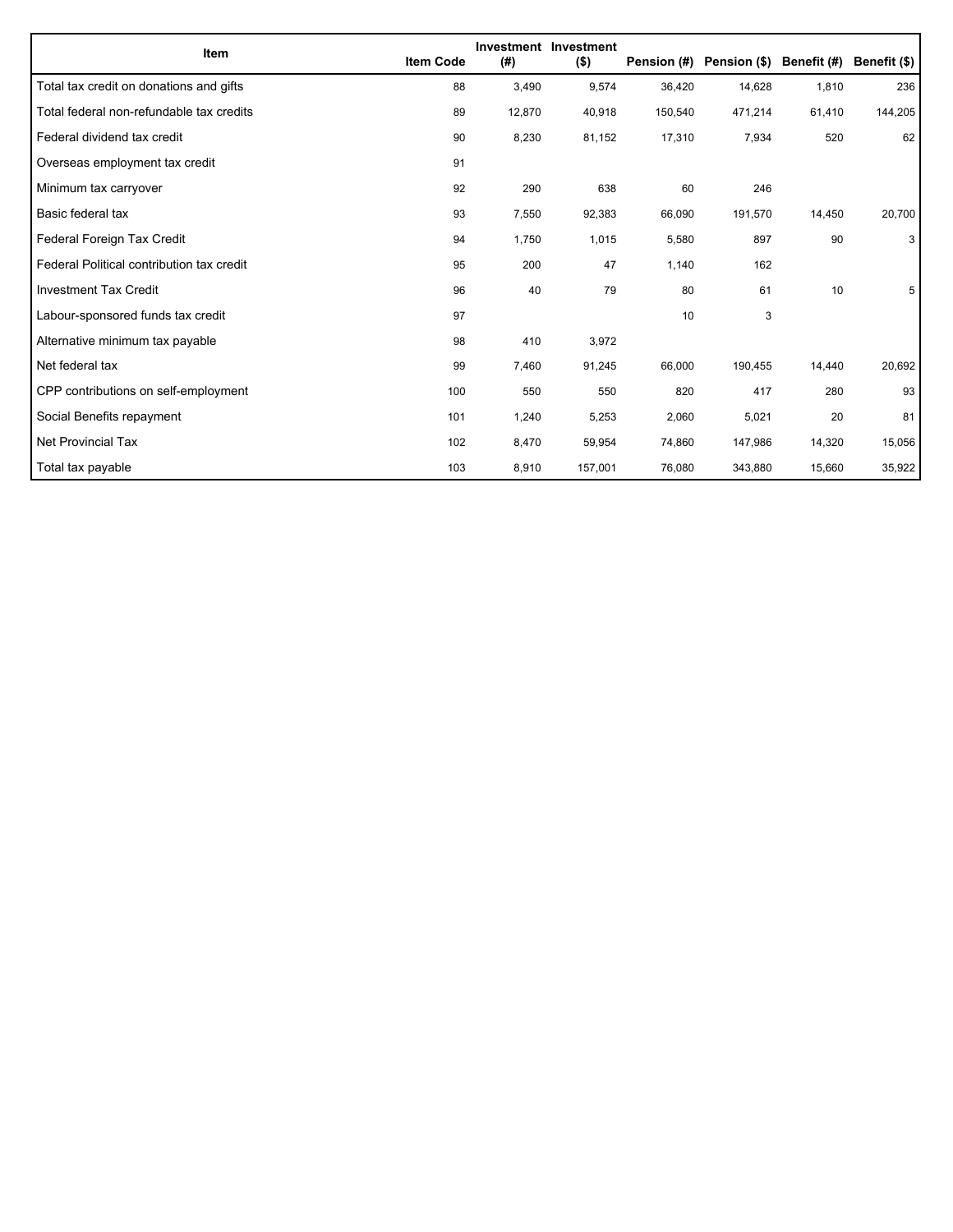| Item                                      | <b>Item Code</b> | (#)    | Investment Investment<br>$($ \$) | Pension (#) | Pension (\$) Benefit (#) |        | Benefit (\$) |
|-------------------------------------------|------------------|--------|----------------------------------|-------------|--------------------------|--------|--------------|
| Total tax credit on donations and gifts   | 88               | 3,490  | 9,574                            | 36,420      | 14,628                   | 1,810  | 236          |
| Total federal non-refundable tax credits  | 89               | 12,870 | 40,918                           | 150,540     | 471,214                  | 61,410 | 144,205      |
| Federal dividend tax credit               | 90               | 8,230  | 81,152                           | 17,310      | 7,934                    | 520    | 62           |
| Overseas employment tax credit            | 91               |        |                                  |             |                          |        |              |
| Minimum tax carryover                     | 92               | 290    | 638                              | 60          | 246                      |        |              |
| Basic federal tax                         | 93               | 7,550  | 92,383                           | 66,090      | 191,570                  | 14,450 | 20,700       |
| Federal Foreign Tax Credit                | 94               | 1,750  | 1,015                            | 5,580       | 897                      | 90     | 3            |
| Federal Political contribution tax credit | 95               | 200    | 47                               | 1,140       | 162                      |        |              |
| <b>Investment Tax Credit</b>              | 96               | 40     | 79                               | 80          | 61                       | 10     | 5            |
| Labour-sponsored funds tax credit         | 97               |        |                                  | 10          | 3                        |        |              |
| Alternative minimum tax payable           | 98               | 410    | 3,972                            |             |                          |        |              |
| Net federal tax                           | 99               | 7,460  | 91,245                           | 66,000      | 190,455                  | 14,440 | 20,692       |
| CPP contributions on self-employment      | 100              | 550    | 550                              | 820         | 417                      | 280    | 93           |
| Social Benefits repayment                 | 101              | 1,240  | 5,253                            | 2,060       | 5,021                    | 20     | 81           |
| Net Provincial Tax                        | 102              | 8,470  | 59,954                           | 74,860      | 147,986                  | 14,320 | 15,056       |
| Total tax payable                         | 103              | 8,910  | 157,001                          | 76,080      | 343,880                  | 15,660 | 35,922       |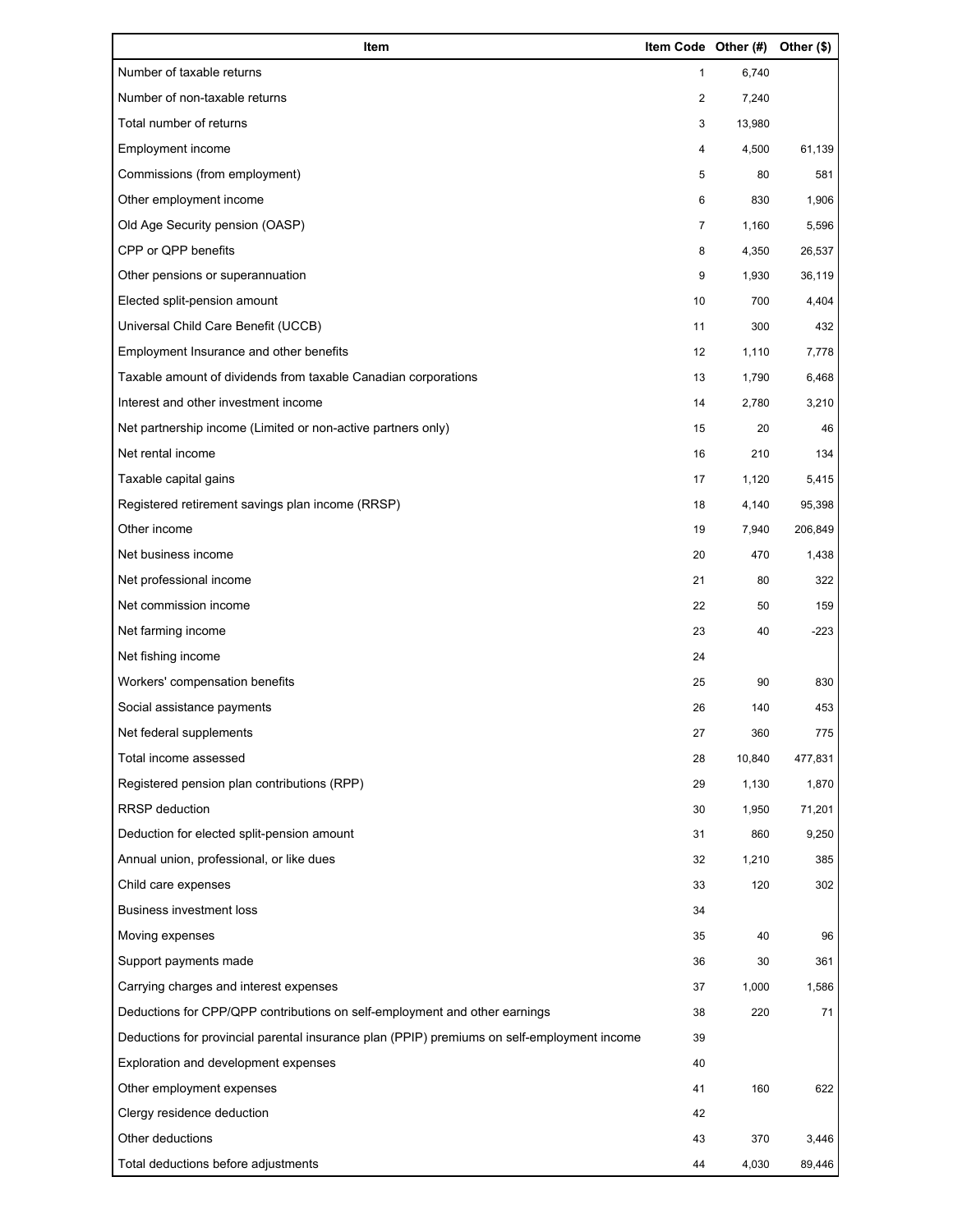| Item                                                                                        | Item Code Other (#) |        | Other (\$) |
|---------------------------------------------------------------------------------------------|---------------------|--------|------------|
| Number of taxable returns                                                                   | 1                   | 6,740  |            |
| Number of non-taxable returns                                                               | 2                   | 7,240  |            |
| Total number of returns                                                                     | 3                   | 13,980 |            |
| Employment income                                                                           | 4                   | 4,500  | 61,139     |
| Commissions (from employment)                                                               | 5                   | 80     | 581        |
| Other employment income                                                                     | 6                   | 830    | 1,906      |
| Old Age Security pension (OASP)                                                             | 7                   | 1,160  | 5,596      |
| CPP or QPP benefits                                                                         | 8                   | 4,350  | 26,537     |
| Other pensions or superannuation                                                            | 9                   | 1,930  | 36,119     |
| Elected split-pension amount                                                                | 10                  | 700    | 4,404      |
| Universal Child Care Benefit (UCCB)                                                         | 11                  | 300    | 432        |
| Employment Insurance and other benefits                                                     | 12                  | 1,110  | 7,778      |
| Taxable amount of dividends from taxable Canadian corporations                              | 13                  | 1,790  | 6,468      |
| Interest and other investment income                                                        | 14                  | 2,780  | 3,210      |
| Net partnership income (Limited or non-active partners only)                                | 15                  | 20     | 46         |
| Net rental income                                                                           | 16                  | 210    | 134        |
| Taxable capital gains                                                                       | 17                  | 1,120  | 5,415      |
| Registered retirement savings plan income (RRSP)                                            | 18                  | 4,140  | 95,398     |
| Other income                                                                                | 19                  | 7,940  | 206,849    |
| Net business income                                                                         | 20                  | 470    | 1,438      |
| Net professional income                                                                     | 21                  | 80     | 322        |
| Net commission income                                                                       | 22                  | 50     | 159        |
| Net farming income                                                                          | 23                  | 40     | $-223$     |
| Net fishing income                                                                          | 24                  |        |            |
| Workers' compensation benefits                                                              | 25                  | 90     | 830        |
| Social assistance payments                                                                  | 26                  | 140    | 453        |
| Net federal supplements                                                                     | 27                  | 360    | 775        |
| Total income assessed                                                                       | 28                  | 10,840 | 477,831    |
| Registered pension plan contributions (RPP)                                                 | 29                  | 1,130  | 1,870      |
| RRSP deduction                                                                              | 30                  | 1,950  | 71,201     |
| Deduction for elected split-pension amount                                                  | 31                  | 860    | 9,250      |
| Annual union, professional, or like dues                                                    | 32                  | 1,210  | 385        |
| Child care expenses                                                                         | 33                  | 120    | 302        |
| <b>Business investment loss</b>                                                             | 34                  |        |            |
| Moving expenses                                                                             | 35                  | 40     | 96         |
| Support payments made                                                                       | 36                  | 30     | 361        |
| Carrying charges and interest expenses                                                      | 37                  | 1,000  | 1,586      |
| Deductions for CPP/QPP contributions on self-employment and other earnings                  | 38                  | 220    | 71         |
| Deductions for provincial parental insurance plan (PPIP) premiums on self-employment income | 39                  |        |            |
| Exploration and development expenses                                                        | 40                  |        |            |
| Other employment expenses                                                                   | 41                  | 160    | 622        |
| Clergy residence deduction                                                                  | 42                  |        |            |
| Other deductions                                                                            | 43                  | 370    | 3,446      |
| Total deductions before adjustments                                                         | 44                  | 4,030  | 89,446     |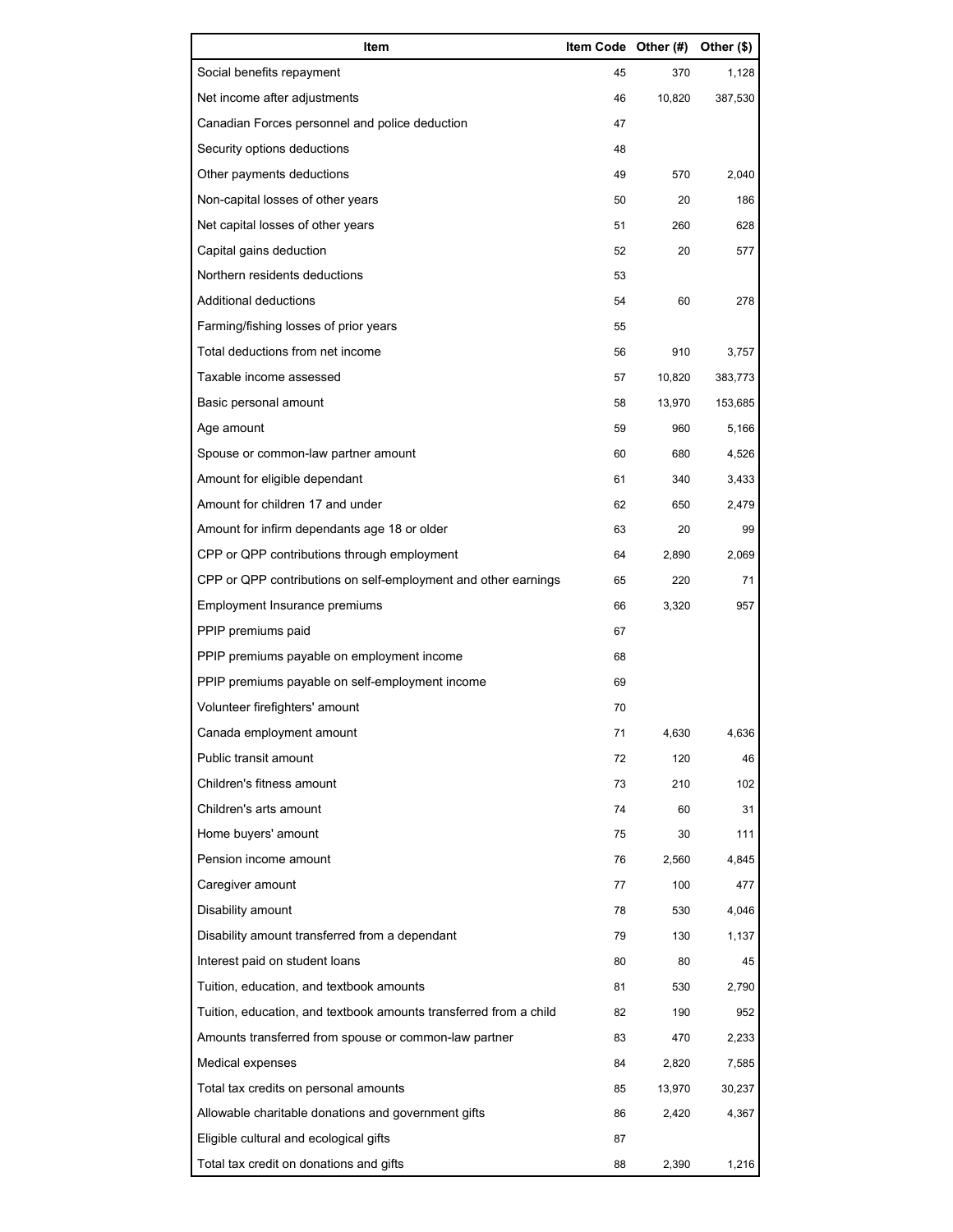| Item                                                              | Item Code Other (#) |        | Other (\$) |
|-------------------------------------------------------------------|---------------------|--------|------------|
| Social benefits repayment                                         | 45                  | 370    | 1,128      |
| Net income after adjustments                                      | 46                  | 10,820 | 387,530    |
| Canadian Forces personnel and police deduction                    | 47                  |        |            |
| Security options deductions                                       | 48                  |        |            |
| Other payments deductions                                         | 49                  | 570    | 2,040      |
| Non-capital losses of other years                                 | 50                  | 20     | 186        |
| Net capital losses of other years                                 | 51                  | 260    | 628        |
| Capital gains deduction                                           | 52                  | 20     | 577        |
| Northern residents deductions                                     | 53                  |        |            |
| Additional deductions                                             | 54                  | 60     | 278        |
| Farming/fishing losses of prior years                             | 55                  |        |            |
| Total deductions from net income                                  | 56                  | 910    | 3,757      |
| Taxable income assessed                                           | 57                  | 10,820 | 383,773    |
| Basic personal amount                                             | 58                  | 13,970 | 153,685    |
| Age amount                                                        | 59                  | 960    | 5,166      |
| Spouse or common-law partner amount                               | 60                  | 680    | 4,526      |
| Amount for eligible dependant                                     | 61                  | 340    | 3,433      |
| Amount for children 17 and under                                  | 62                  | 650    | 2,479      |
| Amount for infirm dependants age 18 or older                      | 63                  | 20     | 99         |
| CPP or QPP contributions through employment                       | 64                  | 2,890  | 2,069      |
| CPP or QPP contributions on self-employment and other earnings    | 65                  | 220    | 71         |
| Employment Insurance premiums                                     | 66                  | 3,320  | 957        |
| PPIP premiums paid                                                | 67                  |        |            |
| PPIP premiums payable on employment income                        | 68                  |        |            |
| PPIP premiums payable on self-employment income                   | 69                  |        |            |
| Volunteer firefighters' amount                                    | 70                  |        |            |
| Canada employment amount                                          | 71                  | 4,630  | 4,636      |
| Public transit amount                                             | 72                  | 120    | 46         |
| Children's fitness amount                                         | 73                  | 210    | 102        |
| Children's arts amount                                            | 74                  | 60     | 31         |
| Home buyers' amount                                               | 75                  | 30     | 111        |
| Pension income amount                                             | 76                  | 2,560  | 4,845      |
| Caregiver amount                                                  | 77                  | 100    | 477        |
| Disability amount                                                 | 78                  | 530    | 4,046      |
| Disability amount transferred from a dependant                    | 79                  | 130    | 1,137      |
| Interest paid on student loans                                    | 80                  | 80     | 45         |
| Tuition, education, and textbook amounts                          | 81                  | 530    | 2,790      |
| Tuition, education, and textbook amounts transferred from a child | 82                  | 190    | 952        |
| Amounts transferred from spouse or common-law partner             | 83                  | 470    | 2,233      |
| Medical expenses                                                  | 84                  | 2,820  | 7,585      |
| Total tax credits on personal amounts                             | 85                  | 13,970 | 30,237     |
| Allowable charitable donations and government gifts               | 86                  | 2,420  | 4,367      |
| Eligible cultural and ecological gifts                            | 87                  |        |            |
| Total tax credit on donations and gifts                           | 88                  | 2,390  | 1,216      |